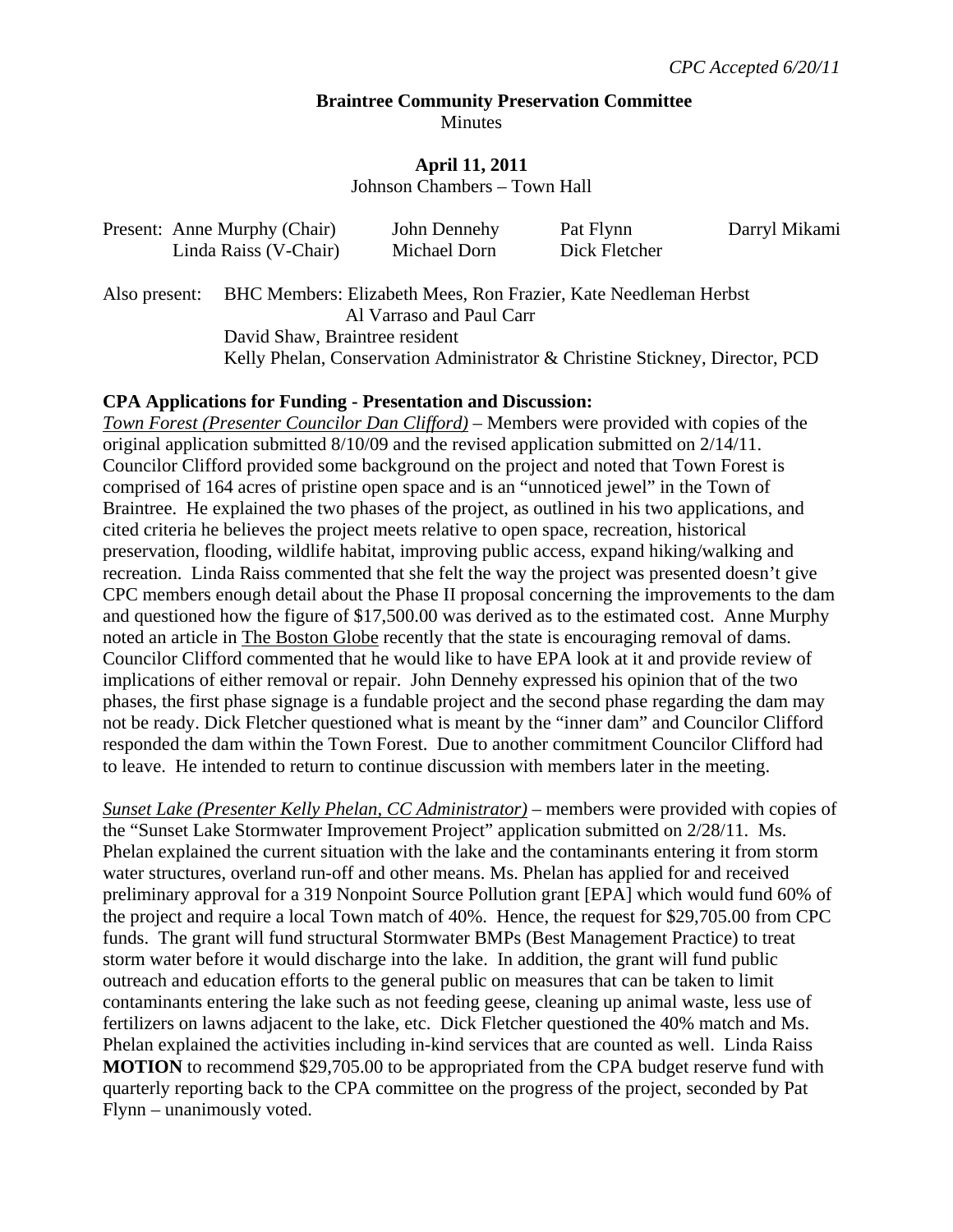#### **Braintree Community Preservation Committee**  Minutes

#### **April 11, 2011**

Johnson Chambers – Town Hall

| Present: Anne Murphy (Chair) | John Dennehy | Pat Flynn     | Darryl Mikami |
|------------------------------|--------------|---------------|---------------|
| Linda Raiss (V-Chair)        | Michael Dorn | Dick Fletcher |               |

Also present: BHC Members: Elizabeth Mees, Ron Frazier, Kate Needleman Herbst Al Varraso and Paul Carr David Shaw, Braintree resident Kelly Phelan, Conservation Administrator & Christine Stickney, Director, PCD

#### **CPA Applications for Funding - Presentation and Discussion:**

*Town Forest (Presenter Councilor Dan Clifford)* – Members were provided with copies of the original application submitted 8/10/09 and the revised application submitted on 2/14/11. Councilor Clifford provided some background on the project and noted that Town Forest is comprised of 164 acres of pristine open space and is an "unnoticed jewel" in the Town of Braintree. He explained the two phases of the project, as outlined in his two applications, and cited criteria he believes the project meets relative to open space, recreation, historical preservation, flooding, wildlife habitat, improving public access, expand hiking/walking and recreation. Linda Raiss commented that she felt the way the project was presented doesn't give CPC members enough detail about the Phase II proposal concerning the improvements to the dam and questioned how the figure of \$17,500.00 was derived as to the estimated cost. Anne Murphy noted an article in The Boston Globe recently that the state is encouraging removal of dams. Councilor Clifford commented that he would like to have EPA look at it and provide review of implications of either removal or repair. John Dennehy expressed his opinion that of the two phases, the first phase signage is a fundable project and the second phase regarding the dam may not be ready. Dick Fletcher questioned what is meant by the "inner dam" and Councilor Clifford responded the dam within the Town Forest. Due to another commitment Councilor Clifford had to leave. He intended to return to continue discussion with members later in the meeting.

*Sunset Lake (Presenter Kelly Phelan, CC Administrator)* – members were provided with copies of the "Sunset Lake Stormwater Improvement Project" application submitted on 2/28/11. Ms. Phelan explained the current situation with the lake and the contaminants entering it from storm water structures, overland run-off and other means. Ms. Phelan has applied for and received preliminary approval for a 319 Nonpoint Source Pollution grant [EPA] which would fund 60% of the project and require a local Town match of 40%. Hence, the request for \$29,705.00 from CPC funds. The grant will fund structural Stormwater BMPs (Best Management Practice) to treat storm water before it would discharge into the lake. In addition, the grant will fund public outreach and education efforts to the general public on measures that can be taken to limit contaminants entering the lake such as not feeding geese, cleaning up animal waste, less use of fertilizers on lawns adjacent to the lake, etc. Dick Fletcher questioned the 40% match and Ms. Phelan explained the activities including in-kind services that are counted as well. Linda Raiss **MOTION** to recommend \$29,705.00 to be appropriated from the CPA budget reserve fund with quarterly reporting back to the CPA committee on the progress of the project, seconded by Pat Flynn – unanimously voted.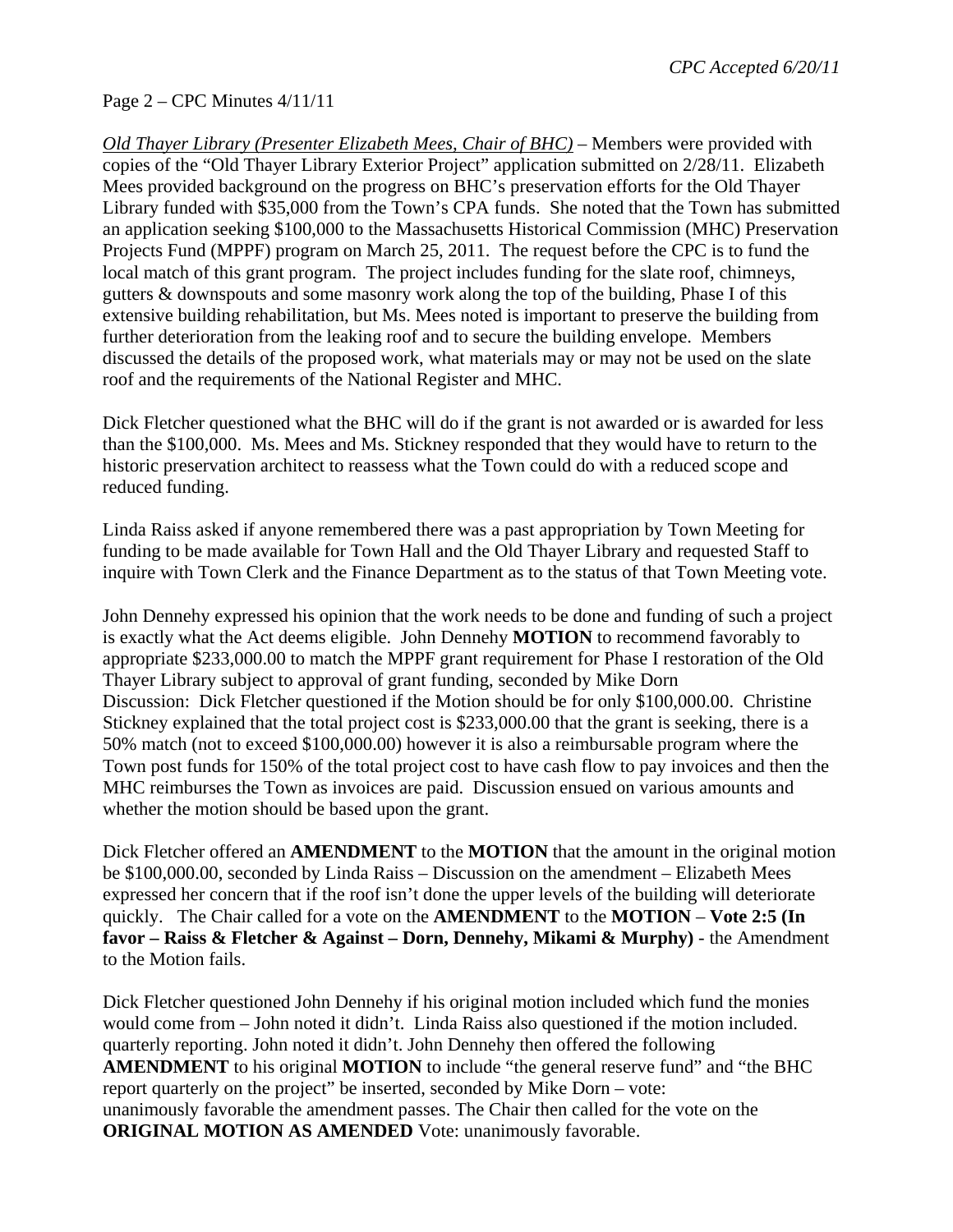# Page 2 – CPC Minutes 4/11/11

*Old Thayer Library (Presenter Elizabeth Mees, Chair of BHC)* – Members were provided with copies of the "Old Thayer Library Exterior Project" application submitted on 2/28/11. Elizabeth Mees provided background on the progress on BHC's preservation efforts for the Old Thayer Library funded with \$35,000 from the Town's CPA funds. She noted that the Town has submitted an application seeking \$100,000 to the Massachusetts Historical Commission (MHC) Preservation Projects Fund (MPPF) program on March 25, 2011. The request before the CPC is to fund the local match of this grant program. The project includes funding for the slate roof, chimneys, gutters & downspouts and some masonry work along the top of the building, Phase I of this extensive building rehabilitation, but Ms. Mees noted is important to preserve the building from further deterioration from the leaking roof and to secure the building envelope. Members discussed the details of the proposed work, what materials may or may not be used on the slate roof and the requirements of the National Register and MHC.

Dick Fletcher questioned what the BHC will do if the grant is not awarded or is awarded for less than the \$100,000. Ms. Mees and Ms. Stickney responded that they would have to return to the historic preservation architect to reassess what the Town could do with a reduced scope and reduced funding.

Linda Raiss asked if anyone remembered there was a past appropriation by Town Meeting for funding to be made available for Town Hall and the Old Thayer Library and requested Staff to inquire with Town Clerk and the Finance Department as to the status of that Town Meeting vote.

John Dennehy expressed his opinion that the work needs to be done and funding of such a project is exactly what the Act deems eligible. John Dennehy **MOTION** to recommend favorably to appropriate \$233,000.00 to match the MPPF grant requirement for Phase I restoration of the Old Thayer Library subject to approval of grant funding, seconded by Mike Dorn Discussion: Dick Fletcher questioned if the Motion should be for only \$100,000.00. Christine Stickney explained that the total project cost is \$233,000.00 that the grant is seeking, there is a 50% match (not to exceed \$100,000.00) however it is also a reimbursable program where the Town post funds for 150% of the total project cost to have cash flow to pay invoices and then the MHC reimburses the Town as invoices are paid. Discussion ensued on various amounts and whether the motion should be based upon the grant.

Dick Fletcher offered an **AMENDMENT** to the **MOTION** that the amount in the original motion be \$100,000.00, seconded by Linda Raiss – Discussion on the amendment – Elizabeth Mees expressed her concern that if the roof isn't done the upper levels of the building will deteriorate quickly. The Chair called for a vote on the **AMENDMENT** to the **MOTION** – **Vote 2:5 (In favor – Raiss & Fletcher & Against – Dorn, Dennehy, Mikami & Murphy)** - the Amendment to the Motion fails.

Dick Fletcher questioned John Dennehy if his original motion included which fund the monies would come from – John noted it didn't. Linda Raiss also questioned if the motion included. quarterly reporting. John noted it didn't. John Dennehy then offered the following **AMENDMENT** to his original **MOTION** to include "the general reserve fund" and "the BHC report quarterly on the project" be inserted, seconded by Mike Dorn – vote: unanimously favorable the amendment passes. The Chair then called for the vote on the **ORIGINAL MOTION AS AMENDED** Vote: unanimously favorable.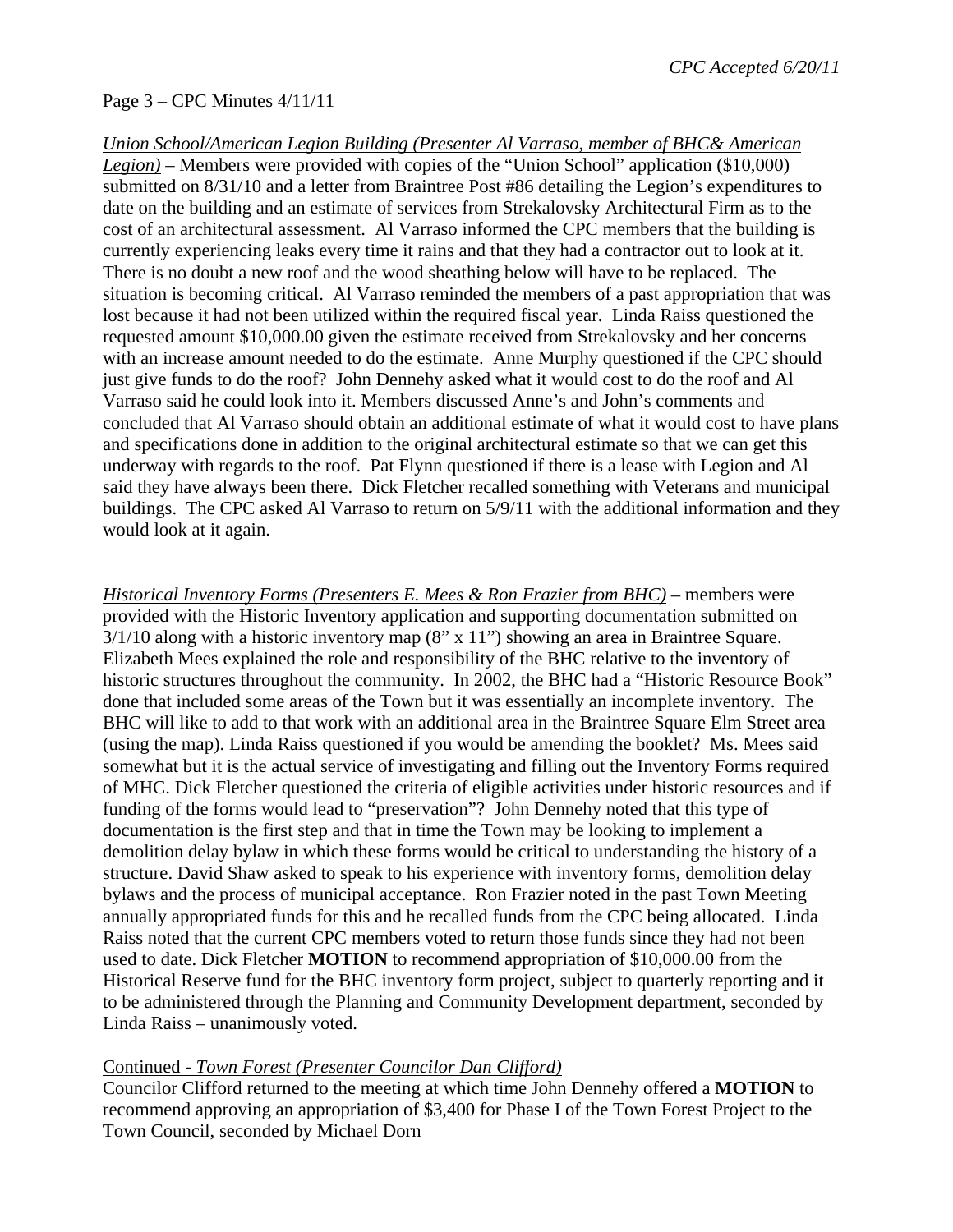## Page 3 – CPC Minutes 4/11/11

*Union School/American Legion Building (Presenter Al Varraso, member of BHC& American Legion)* – Members were provided with copies of the "Union School" application (\$10,000) submitted on 8/31/10 and a letter from Braintree Post #86 detailing the Legion's expenditures to date on the building and an estimate of services from Strekalovsky Architectural Firm as to the cost of an architectural assessment. Al Varraso informed the CPC members that the building is currently experiencing leaks every time it rains and that they had a contractor out to look at it. There is no doubt a new roof and the wood sheathing below will have to be replaced. The situation is becoming critical. Al Varraso reminded the members of a past appropriation that was lost because it had not been utilized within the required fiscal year. Linda Raiss questioned the requested amount \$10,000.00 given the estimate received from Strekalovsky and her concerns with an increase amount needed to do the estimate. Anne Murphy questioned if the CPC should just give funds to do the roof? John Dennehy asked what it would cost to do the roof and Al Varraso said he could look into it. Members discussed Anne's and John's comments and concluded that Al Varraso should obtain an additional estimate of what it would cost to have plans and specifications done in addition to the original architectural estimate so that we can get this underway with regards to the roof. Pat Flynn questioned if there is a lease with Legion and Al said they have always been there. Dick Fletcher recalled something with Veterans and municipal buildings. The CPC asked Al Varraso to return on 5/9/11 with the additional information and they would look at it again.

*Historical Inventory Forms (Presenters E. Mees & Ron Frazier from BHC) –* members were provided with the Historic Inventory application and supporting documentation submitted on  $3/1/10$  along with a historic inventory map  $(8" \times 11")$  showing an area in Braintree Square. Elizabeth Mees explained the role and responsibility of the BHC relative to the inventory of historic structures throughout the community. In 2002, the BHC had a "Historic Resource Book" done that included some areas of the Town but it was essentially an incomplete inventory. The BHC will like to add to that work with an additional area in the Braintree Square Elm Street area (using the map). Linda Raiss questioned if you would be amending the booklet? Ms. Mees said somewhat but it is the actual service of investigating and filling out the Inventory Forms required of MHC. Dick Fletcher questioned the criteria of eligible activities under historic resources and if funding of the forms would lead to "preservation"? John Dennehy noted that this type of documentation is the first step and that in time the Town may be looking to implement a demolition delay bylaw in which these forms would be critical to understanding the history of a structure. David Shaw asked to speak to his experience with inventory forms, demolition delay bylaws and the process of municipal acceptance. Ron Frazier noted in the past Town Meeting annually appropriated funds for this and he recalled funds from the CPC being allocated. Linda Raiss noted that the current CPC members voted to return those funds since they had not been used to date. Dick Fletcher **MOTION** to recommend appropriation of \$10,000.00 from the Historical Reserve fund for the BHC inventory form project, subject to quarterly reporting and it to be administered through the Planning and Community Development department, seconded by Linda Raiss – unanimously voted.

### Continued - *Town Forest (Presenter Councilor Dan Clifford)*

Councilor Clifford returned to the meeting at which time John Dennehy offered a **MOTION** to recommend approving an appropriation of \$3,400 for Phase I of the Town Forest Project to the Town Council, seconded by Michael Dorn